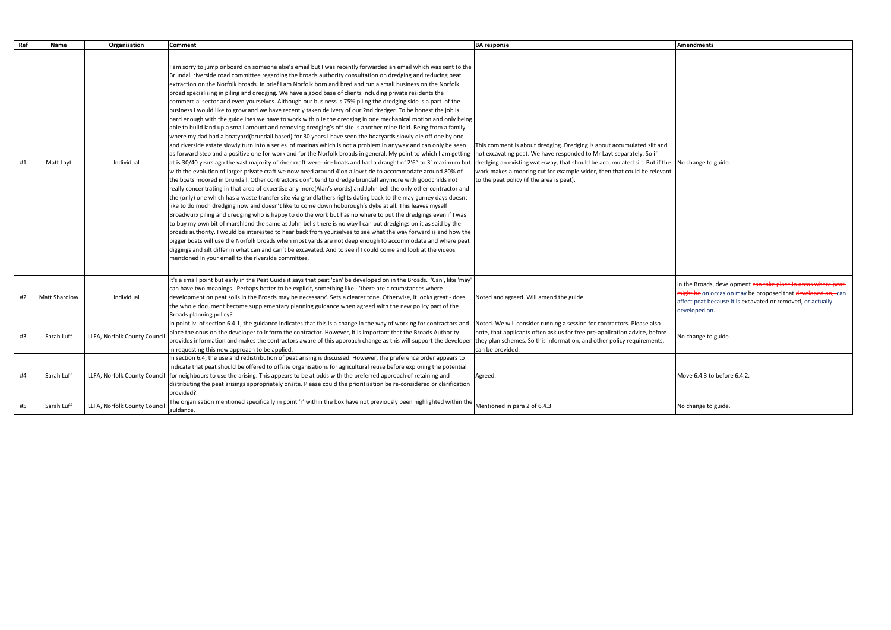|                                                                                                                                                   | <b>Amendments</b>                                                                                                                                                                                             |
|---------------------------------------------------------------------------------------------------------------------------------------------------|---------------------------------------------------------------------------------------------------------------------------------------------------------------------------------------------------------------|
| ing is about accumulated silt and<br>d to Mr Layt separately. So if<br>ould be accumulated silt. But if the<br>wider, then that could be relevant | No change to guide.                                                                                                                                                                                           |
| e.                                                                                                                                                | In the Broads, development can take place in areas where peat-<br>might be on occasion may be proposed that developed on, can<br>affect peat because it is excavated or removed, or actually<br>developed on. |
| on for contractors. Please also<br>ee pre-application advice, before<br>and other policy requirements,                                            | No change to guide.                                                                                                                                                                                           |
|                                                                                                                                                   | Move 6.4.3 to before 6.4.2.                                                                                                                                                                                   |
|                                                                                                                                                   | No change to guide.                                                                                                                                                                                           |

| Ref | Name                 | Organisation                 | Comment                                                                                                                                                                                                                                                                                                                                                                                                                                                                                                                                                                                                                                                                                                                                                                                                                                                                                                                                                                                                                                                                                                                                                                                                                                                                                                                                                                                                                                                                                                                                                                                                                                                                                                                                                                                                                                                                                                                                                                                                                                                                                                                                                                                                                                                                                                                                                                                                                                                                                                                                                                                                                                      | <b>BA</b> response                                                                                                                                                                                                                                                                                                                                  | Amendments                                                                                              |
|-----|----------------------|------------------------------|----------------------------------------------------------------------------------------------------------------------------------------------------------------------------------------------------------------------------------------------------------------------------------------------------------------------------------------------------------------------------------------------------------------------------------------------------------------------------------------------------------------------------------------------------------------------------------------------------------------------------------------------------------------------------------------------------------------------------------------------------------------------------------------------------------------------------------------------------------------------------------------------------------------------------------------------------------------------------------------------------------------------------------------------------------------------------------------------------------------------------------------------------------------------------------------------------------------------------------------------------------------------------------------------------------------------------------------------------------------------------------------------------------------------------------------------------------------------------------------------------------------------------------------------------------------------------------------------------------------------------------------------------------------------------------------------------------------------------------------------------------------------------------------------------------------------------------------------------------------------------------------------------------------------------------------------------------------------------------------------------------------------------------------------------------------------------------------------------------------------------------------------------------------------------------------------------------------------------------------------------------------------------------------------------------------------------------------------------------------------------------------------------------------------------------------------------------------------------------------------------------------------------------------------------------------------------------------------------------------------------------------------|-----------------------------------------------------------------------------------------------------------------------------------------------------------------------------------------------------------------------------------------------------------------------------------------------------------------------------------------------------|---------------------------------------------------------------------------------------------------------|
| #1  | Matt Layt            | Individual                   | I am sorry to jump onboard on someone else's email but I was recently forwarded an email which was sent to the<br>Brundall riverside road committee regarding the broads authority consultation on dredging and reducing peat<br>extraction on the Norfolk broads. In brief I am Norfolk born and bred and run a small business on the Norfolk<br>broad specialising in piling and dredging. We have a good base of clients including private residents the<br>commercial sector and even yourselves. Although our business is 75% piling the dredging side is a part of the<br>business I would like to grow and we have recently taken delivery of our 2nd dredger. To be honest the job is<br>hard enough with the guidelines we have to work within ie the dredging in one mechanical motion and only being<br>able to build land up a small amount and removing dredging's off site is another mine field. Being from a family<br>where my dad had a boatyard(brundall based) for 30 years I have seen the boatyards slowly die off one by one<br>and riverside estate slowly turn into a series of marinas which is not a problem in anyway and can only be seen<br>as forward step and a positive one for work and for the Norfolk broads in general. My point to which I am getting<br>at is 30/40 years ago the vast majority of river craft were hire boats and had a draught of 2'6" to 3' maximum but<br>with the evolution of larger private craft we now need around 4'on a low tide to accommodate around 80% of<br>the boats moored in brundall. Other contractors don't tend to dredge brundall anymore with goodchilds not<br>really concentrating in that area of expertise any more(Alan's words) and John bell the only other contractor and<br>the (only) one which has a waste transfer site via grandfathers rights dating back to the may gurney days doesnt<br>like to do much dredging now and doesn't like to come down hoborough's dyke at all. This leaves myself<br>Broadwurx piling and dredging who is happy to do the work but has no where to put the dredgings even if I was<br>to buy my own bit of marshland the same as John bells there is no way I can put dredgings on it as said by the<br>broads authority. I would be interested to hear back from yourselves to see what the way forward is and how the<br>bigger boats will use the Norfolk broads when most yards are not deep enough to accommodate and where peat<br>diggings and silt differ in what can and can't be excavated. And to see if I could come and look at the videos<br>mentioned in your email to the riverside committee. | This comment is about dredging. Dredging is about accumulated silt and<br>not excavating peat. We have responded to Mr Layt separately. So if<br>dredging an existing waterway, that should be accumulated silt. But if the<br>work makes a mooring cut for example wider, then that could be relevant<br>to the peat policy (if the area is peat). | No change to guide.                                                                                     |
| #2  | <b>Matt Shardlow</b> | Individual                   | It's a small point but early in the Peat Guide it says that peat 'can' be developed on in the Broads. 'Can', like 'may'<br>can have two meanings. Perhaps better to be explicit, something like - 'there are circumstances where<br>development on peat soils in the Broads may be necessary'. Sets a clearer tone. Otherwise, it looks great - does<br>the whole document become supplementary planning guidance when agreed with the new policy part of the<br>Broads planning policy?                                                                                                                                                                                                                                                                                                                                                                                                                                                                                                                                                                                                                                                                                                                                                                                                                                                                                                                                                                                                                                                                                                                                                                                                                                                                                                                                                                                                                                                                                                                                                                                                                                                                                                                                                                                                                                                                                                                                                                                                                                                                                                                                                     | Noted and agreed. Will amend the guide.                                                                                                                                                                                                                                                                                                             | In the Broads, developmen<br>might be on occasion may<br>affect peat because it is exo<br>developed on. |
| #3  | Sarah Luff           | LLFA, Norfolk County Council | In point iv. of section 6.4.1, the guidance indicates that this is a change in the way of working for contractors and<br>place the onus on the developer to inform the contractor. However, it is important that the Broads Authority<br>provides information and makes the contractors aware of this approach change as this will support the developer they plan schemes. So this information, and other policy requirements,<br>in requesting this new approach to be applied.                                                                                                                                                                                                                                                                                                                                                                                                                                                                                                                                                                                                                                                                                                                                                                                                                                                                                                                                                                                                                                                                                                                                                                                                                                                                                                                                                                                                                                                                                                                                                                                                                                                                                                                                                                                                                                                                                                                                                                                                                                                                                                                                                            | Noted. We will consider running a session for contractors. Please also<br>note, that applicants often ask us for free pre-application advice, before<br>can be provided.                                                                                                                                                                            | No change to guide.                                                                                     |
| #4  | Sarah Luff           | LLFA, Norfolk County Council | In section 6.4, the use and redistribution of peat arising is discussed. However, the preference order appears to<br>indicate that peat should be offered to offsite organisations for agricultural reuse before exploring the potential<br>for neighbours to use the arising. This appears to be at odds with the preferred approach of retaining and<br>distributing the peat arisings appropriately onsite. Please could the prioritisation be re-considered or clarification<br>provided?                                                                                                                                                                                                                                                                                                                                                                                                                                                                                                                                                                                                                                                                                                                                                                                                                                                                                                                                                                                                                                                                                                                                                                                                                                                                                                                                                                                                                                                                                                                                                                                                                                                                                                                                                                                                                                                                                                                                                                                                                                                                                                                                                | Agreed.                                                                                                                                                                                                                                                                                                                                             | Move 6.4.3 to before 6.4.2.                                                                             |
| #5  | Sarah Luff           | LLFA, Norfolk County Council | The organisation mentioned specifically in point 'r' within the box have not previously been highlighted within the<br>guidance.                                                                                                                                                                                                                                                                                                                                                                                                                                                                                                                                                                                                                                                                                                                                                                                                                                                                                                                                                                                                                                                                                                                                                                                                                                                                                                                                                                                                                                                                                                                                                                                                                                                                                                                                                                                                                                                                                                                                                                                                                                                                                                                                                                                                                                                                                                                                                                                                                                                                                                             | Mentioned in para 2 of 6.4.3                                                                                                                                                                                                                                                                                                                        | No change to guide.                                                                                     |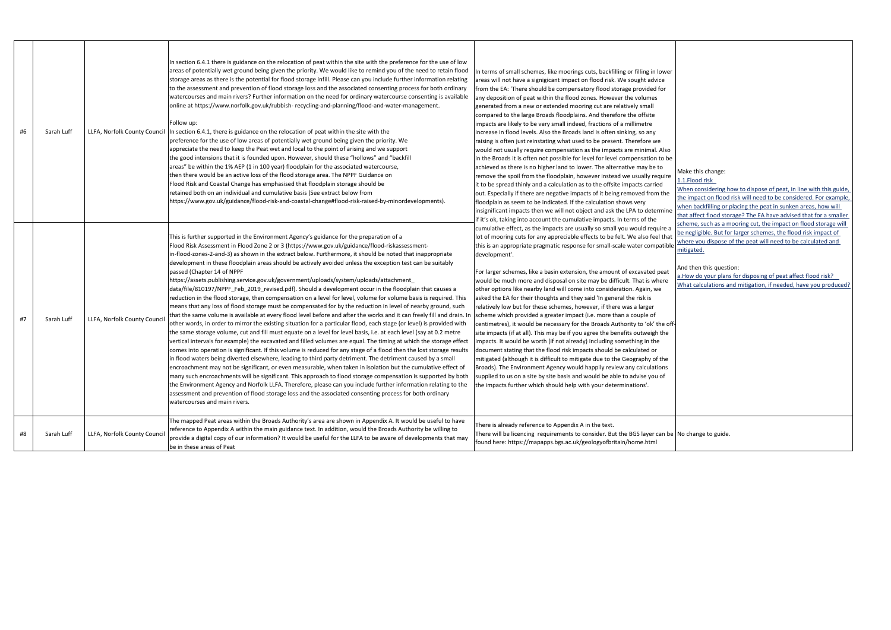| #6 | Sarah Luff |                              | In section 6.4.1 there is guidance on the relocation of peat within the site with the preference for the use of low<br>areas of potentially wet ground being given the priority. We would like to remind you of the need to retain flood<br>storage areas as there is the potential for flood storage infill. Please can you include further information relating<br>to the assessment and prevention of flood storage loss and the associated consenting process for both ordinary<br>watercourses and main rivers? Further information on the need for ordinary watercourse consenting is available<br>online at https://www.norfolk.gov.uk/rubbish-recycling-and-planning/flood-and-water-management.<br>Follow up:<br>LLFA, Norfolk County Council   In section 6.4.1, there is guidance on the relocation of peat within the site with the<br>preference for the use of low areas of potentially wet ground being given the priority. We<br>appreciate the need to keep the Peat wet and local to the point of arising and we support<br>the good intensions that it is founded upon. However, should these "hollows" and "backfill<br>areas" be within the 1% AEP (1 in 100 year) floodplain for the associated watercourse,<br>then there would be an active loss of the flood storage area. The NPPF Guidance on<br>Flood Risk and Coastal Change has emphasised that floodplain storage should be<br>retained both on an individual and cumulative basis (See extract below from<br>https://www.gov.uk/guidance/flood-risk-and-coastal-change#flood-risk-raised-by-minordevelopments).                                                                                                                                                                                                                                                                                                                                                                                                                                                                                                                                     | In terms of small schemes, like moorings cuts, backfilling or filling in lower<br>areas will not have a signigicant impact on flood risk. We sought advice<br>from the EA: 'There should be compensatory flood storage provided for<br>any deposition of peat within the flood zones. However the volumes<br>generated from a new or extended mooring cut are relatively small<br>compared to the large Broads floodplains. And therefore the offsite<br>impacts are likely to be very small indeed, fractions of a millimetre<br>increase in flood levels. Also the Broads land is often sinking, so any<br>raising is often just reinstating what used to be present. Therefore we<br>would not usually require compensation as the impacts are minimal. Also<br>in the Broads it is often not possible for level for level compensation to be<br>achieved as there is no higher land to lower. The alternative may be to<br>remove the spoil from the floodplain, however instead we usually require<br>it to be spread thinly and a calculation as to the offsite impacts carried<br>out. Especially if there are negative impacts of it being removed from the<br>floodplain as seem to be indicated. If the calculation shows very<br>insignificant impacts then we will not object and ask the LPA to determine<br>if it's ok, taking into account the cumulative impacts. In terms of the | Make this change:<br>1.1. Flood risk<br>When considering how to dispose of peat, in line with this gui<br>the impact on flood risk will need to be considered. For exam<br>when backfilling or placing the peat in sunken areas, how will<br>that affect flood storage? The EA have advised that for a smal                                                               |
|----|------------|------------------------------|-------------------------------------------------------------------------------------------------------------------------------------------------------------------------------------------------------------------------------------------------------------------------------------------------------------------------------------------------------------------------------------------------------------------------------------------------------------------------------------------------------------------------------------------------------------------------------------------------------------------------------------------------------------------------------------------------------------------------------------------------------------------------------------------------------------------------------------------------------------------------------------------------------------------------------------------------------------------------------------------------------------------------------------------------------------------------------------------------------------------------------------------------------------------------------------------------------------------------------------------------------------------------------------------------------------------------------------------------------------------------------------------------------------------------------------------------------------------------------------------------------------------------------------------------------------------------------------------------------------------------------------------------------------------------------------------------------------------------------------------------------------------------------------------------------------------------------------------------------------------------------------------------------------------------------------------------------------------------------------------------------------------------------------------------------------------------------------------------------------------------------------|---------------------------------------------------------------------------------------------------------------------------------------------------------------------------------------------------------------------------------------------------------------------------------------------------------------------------------------------------------------------------------------------------------------------------------------------------------------------------------------------------------------------------------------------------------------------------------------------------------------------------------------------------------------------------------------------------------------------------------------------------------------------------------------------------------------------------------------------------------------------------------------------------------------------------------------------------------------------------------------------------------------------------------------------------------------------------------------------------------------------------------------------------------------------------------------------------------------------------------------------------------------------------------------------------------------------------------------------------------------------------------------------------|---------------------------------------------------------------------------------------------------------------------------------------------------------------------------------------------------------------------------------------------------------------------------------------------------------------------------------------------------------------------------|
| #7 | Sarah Luff | LLFA, Norfolk County Counci  | This is further supported in the Environment Agency's guidance for the preparation of a<br>Flood Risk Assessment in Flood Zone 2 or 3 (https://www.gov.uk/guidance/flood-riskassessment-<br>in-flood-zones-2-and-3) as shown in the extract below. Furthermore, it should be noted that inappropriate<br>development in these floodplain areas should be actively avoided unless the exception test can be suitably<br>passed (Chapter 14 of NPPF<br>https://assets.publishing.service.gov.uk/government/uploads/system/uploads/attachment_<br>data/file/810197/NPPF_Feb_2019_revised.pdf). Should a development occur in the floodplain that causes a<br>reduction in the flood storage, then compensation on a level for level, volume for volume basis is required. This<br>means that any loss of flood storage must be compensated for by the reduction in level of nearby ground, such<br>that the same volume is available at every flood level before and after the works and it can freely fill and drain. In<br>other words, in order to mirror the existing situation for a particular flood, each stage (or level) is provided with<br>the same storage volume, cut and fill must equate on a level for level basis, i.e. at each level (say at 0.2 metre<br>vertical intervals for example) the excavated and filled volumes are equal. The timing at which the storage effect<br>comes into operation is significant. If this volume is reduced for any stage of a flood then the lost storage results<br>in flood waters being diverted elsewhere, leading to third party detriment. The detriment caused by a small<br>encroachment may not be significant, or even measurable, when taken in isolation but the cumulative effect of<br>many such encroachments will be significant. This approach to flood storage compensation is supported by both<br>the Environment Agency and Norfolk LLFA. Therefore, please can you include further information relating to the<br>assessment and prevention of flood storage loss and the associated consenting process for both ordinary<br>watercourses and main rivers. | cumulative effect, as the impacts are usually so small you would require a<br>lot of mooring cuts for any appreciable effects to be felt. We also feel that<br>this is an appropriate pragmatic response for small-scale water compatible<br>development'.<br>For larger schemes, like a basin extension, the amount of excavated peat<br>would be much more and disposal on site may be difficult. That is where<br>other options like nearby land will come into consideration. Again, we<br>asked the EA for their thoughts and they said 'In general the risk is<br>relatively low but for these schemes, however, if there was a larger<br>scheme which provided a greater impact (i.e. more than a couple of<br>centimetres), it would be necessary for the Broads Authority to 'ok' the off-<br>site impacts (if at all). This may be if you agree the benefits outweigh the<br>impacts. It would be worth (if not already) including something in the<br>document stating that the flood risk impacts should be calculated or<br>mitigated (although it is difficult to mitigate due to the Geography of the<br>Broads). The Environment Agency would happily review any calculations<br>supplied to us on a site by site basis and would be able to advise you of<br>the impacts further which should help with your determinations'.                                                    | scheme, such as a mooring cut, the impact on flood storage w<br>be negligible. But for larger schemes, the flood risk impact of<br>where you dispose of the peat will need to be calculated and<br>mitigated.<br>And then this question:<br>a. How do your plans for disposing of peat affect flood risk?<br>What calculations and mitigation, if needed, have you produc |
| #8 | Sarah Luff | LLFA, Norfolk County Council | The mapped Peat areas within the Broads Authority's area are shown in Appendix A. It would be useful to have<br>reference to Appendix A within the main guidance text. In addition, would the Broads Authority be willing to<br>provide a digital copy of our information? It would be useful for the LLFA to be aware of developments that may<br>be in these areas of Peat                                                                                                                                                                                                                                                                                                                                                                                                                                                                                                                                                                                                                                                                                                                                                                                                                                                                                                                                                                                                                                                                                                                                                                                                                                                                                                                                                                                                                                                                                                                                                                                                                                                                                                                                                        | There is already reference to Appendix A in the text.<br>There will be licencing requirements to consider. But the BGS layer can be No change to guide.<br>found here: https://mapapps.bgs.ac.uk/geologyofbritain/home.html                                                                                                                                                                                                                                                                                                                                                                                                                                                                                                                                                                                                                                                                                                                                                                                                                                                                                                                                                                                                                                                                                                                                                                       |                                                                                                                                                                                                                                                                                                                                                                           |

| er                |                                                                                                                                                                                                                  |
|-------------------|------------------------------------------------------------------------------------------------------------------------------------------------------------------------------------------------------------------|
|                   |                                                                                                                                                                                                                  |
| ٥ċ<br>be          |                                                                                                                                                                                                                  |
| re                | Make this change:<br>1.1. Flood risk                                                                                                                                                                             |
| e                 | When considering how to dispose of peat, in line with this guide,<br>the impact on flood risk will need to be considered. For example,                                                                           |
| ne                | when backfilling or placing the peat in sunken areas, how will<br>that affect flood storage? The EA have advised that for a smaller                                                                              |
| : a<br>ıat<br>ble | scheme, such as a mooring cut, the impact on flood storage will<br>be negligible. But for larger schemes, the flood risk impact of<br>where you dispose of the peat will need to be calculated and<br>mitigated. |
| ıt<br>e           | And then this question:<br>a. How do your plans for disposing of peat affect flood risk?<br>What calculations and mitigation, if needed, have you produced?                                                      |
| off-<br>e         |                                                                                                                                                                                                                  |
| e<br>Ś            |                                                                                                                                                                                                                  |
|                   |                                                                                                                                                                                                                  |
|                   | be No change to guide.                                                                                                                                                                                           |
|                   |                                                                                                                                                                                                                  |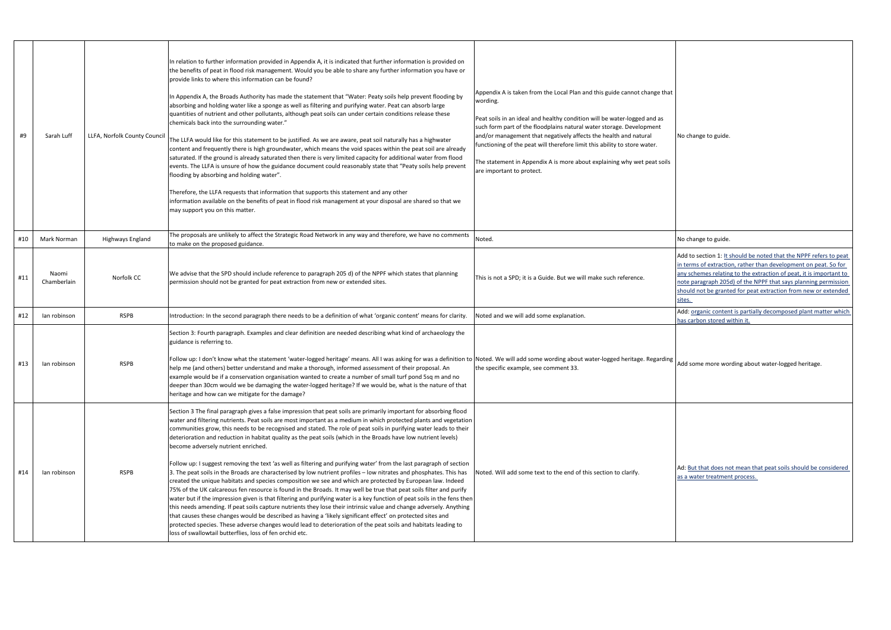Add to section 1: It should be noted that the NPPF refers to peat in terms of extraction, rather than development on peat. So for any schemes relating to the extraction of peat, it is important to note paragraph 205d) of the NPPF that says planning permission should not be granted for peat extraction from new or extended sites.

Add: organic content is partially decomposed plant matter which has carbon stored within it.

Add some more wording about water-logged heritage.

Ad: But that does not mean that peat soils should be considered as a water treatment process.

| #9  | Sarah Luff           | LLFA, Norfolk County Council | In relation to further information provided in Appendix A, it is indicated that further information is provided on<br>the benefits of peat in flood risk management. Would you be able to share any further information you have or<br>provide links to where this information can be found?<br>In Appendix A, the Broads Authority has made the statement that "Water: Peaty soils help prevent flooding by<br>absorbing and holding water like a sponge as well as filtering and purifying water. Peat can absorb large<br>quantities of nutrient and other pollutants, although peat soils can under certain conditions release these<br>chemicals back into the surrounding water."<br>The LLFA would like for this statement to be justified. As we are aware, peat soil naturally has a highwater<br>content and frequently there is high groundwater, which means the void spaces within the peat soil are already<br>saturated. If the ground is already saturated then there is very limited capacity for additional water from flood<br>events. The LLFA is unsure of how the guidance document could reasonably state that "Peaty soils help prevent<br>flooding by absorbing and holding water".<br>Therefore, the LLFA requests that information that supports this statement and any other<br>information available on the benefits of peat in flood risk management at your disposal are shared so that we<br>may support you on this matter.                                                                                               | Appendix A is taken from the Local Plan and this guide cannot change that<br>wording.<br>Peat soils in an ideal and healthy condition will be water-logged and as<br>such form part of the floodplains natural water storage. Development<br>and/or management that negatively affects the health and natural<br>functioning of the peat will therefore limit this ability to store water.<br>The statement in Appendix A is more about explaining why wet peat soils<br>are important to protect. | No change to guide.                                                                                                         |
|-----|----------------------|------------------------------|------------------------------------------------------------------------------------------------------------------------------------------------------------------------------------------------------------------------------------------------------------------------------------------------------------------------------------------------------------------------------------------------------------------------------------------------------------------------------------------------------------------------------------------------------------------------------------------------------------------------------------------------------------------------------------------------------------------------------------------------------------------------------------------------------------------------------------------------------------------------------------------------------------------------------------------------------------------------------------------------------------------------------------------------------------------------------------------------------------------------------------------------------------------------------------------------------------------------------------------------------------------------------------------------------------------------------------------------------------------------------------------------------------------------------------------------------------------------------------------------------------------------------------------------------------|----------------------------------------------------------------------------------------------------------------------------------------------------------------------------------------------------------------------------------------------------------------------------------------------------------------------------------------------------------------------------------------------------------------------------------------------------------------------------------------------------|-----------------------------------------------------------------------------------------------------------------------------|
| #10 | Mark Norman          | Highways England             | The proposals are unlikely to affect the Strategic Road Network in any way and therefore, we have no comments<br>to make on the proposed guidance.                                                                                                                                                                                                                                                                                                                                                                                                                                                                                                                                                                                                                                                                                                                                                                                                                                                                                                                                                                                                                                                                                                                                                                                                                                                                                                                                                                                                         | Noted.                                                                                                                                                                                                                                                                                                                                                                                                                                                                                             | No change to guide.                                                                                                         |
| #11 | Naomi<br>Chamberlain | Norfolk CC                   | We advise that the SPD should include reference to paragraph 205 d) of the NPPF which states that planning<br>permission should not be granted for peat extraction from new or extended sites.                                                                                                                                                                                                                                                                                                                                                                                                                                                                                                                                                                                                                                                                                                                                                                                                                                                                                                                                                                                                                                                                                                                                                                                                                                                                                                                                                             | This is not a SPD; it is a Guide. But we will make such reference.                                                                                                                                                                                                                                                                                                                                                                                                                                 | Add to section 1: It<br>in terms of extractio<br>any schemes relatin<br>note paragraph 205<br>should not be grant<br>sites. |
| #12 | lan robinson         | <b>RSPB</b>                  | Introduction: In the second paragraph there needs to be a definition of what 'organic content' means for clarity.                                                                                                                                                                                                                                                                                                                                                                                                                                                                                                                                                                                                                                                                                                                                                                                                                                                                                                                                                                                                                                                                                                                                                                                                                                                                                                                                                                                                                                          | Noted and we will add some explanation.                                                                                                                                                                                                                                                                                                                                                                                                                                                            | Add: organic conten<br>has carbon stored w                                                                                  |
| #13 | lan robinson         | <b>RSPB</b>                  | Section 3: Fourth paragraph. Examples and clear definition are needed describing what kind of archaeology the<br>guidance is referring to.<br>Follow up: I don't know what the statement 'water-logged heritage' means. All I was asking for was a definition to Noted. We will add some wording about water-logged heritage. Regarding<br>help me (and others) better understand and make a thorough, informed assessment of their proposal. An<br>example would be if a conservation organisation wanted to create a number of small turf pond 5sq m and no<br>deeper than 30cm would we be damaging the water-logged heritage? If we would be, what is the nature of that<br>heritage and how can we mitigate for the damage?                                                                                                                                                                                                                                                                                                                                                                                                                                                                                                                                                                                                                                                                                                                                                                                                                           | the specific example, see comment 33.                                                                                                                                                                                                                                                                                                                                                                                                                                                              | Add some more wo                                                                                                            |
| #14 | lan robinson         | <b>RSPB</b>                  | Section 3 The final paragraph gives a false impression that peat soils are primarily important for absorbing flood<br>water and filtering nutrients. Peat soils are most important as a medium in which protected plants and vegetation<br>communities grow, this needs to be recognised and stated. The role of peat soils in purifying water leads to their<br>deterioration and reduction in habitat quality as the peat soils (which in the Broads have low nutrient levels)<br>become adversely nutrient enriched.<br>Follow up: I suggest removing the text 'as well as filtering and purifying water' from the last paragraph of section<br>3. The peat soils in the Broads are characterised by low nutrient profiles - low nitrates and phosphates. This has<br>created the unique habitats and species composition we see and which are protected by European law. Indeed<br>75% of the UK calcareous fen resource is found in the Broads. It may well be true that peat soils filter and purify<br>water but if the impression given is that filtering and purifying water is a key function of peat soils in the fens then<br>this needs amending. If peat soils capture nutrients they lose their intrinsic value and change adversely. Anything<br>that causes these changes would be described as having a 'likely significant effect' on protected sites and<br>protected species. These adverse changes would lead to deterioration of the peat soils and habitats leading to<br>loss of swallowtail butterflies, loss of fen orchid etc. | Noted. Will add some text to the end of this section to clarify.                                                                                                                                                                                                                                                                                                                                                                                                                                   | Ad: But that does no<br>as a water treatmer                                                                                 |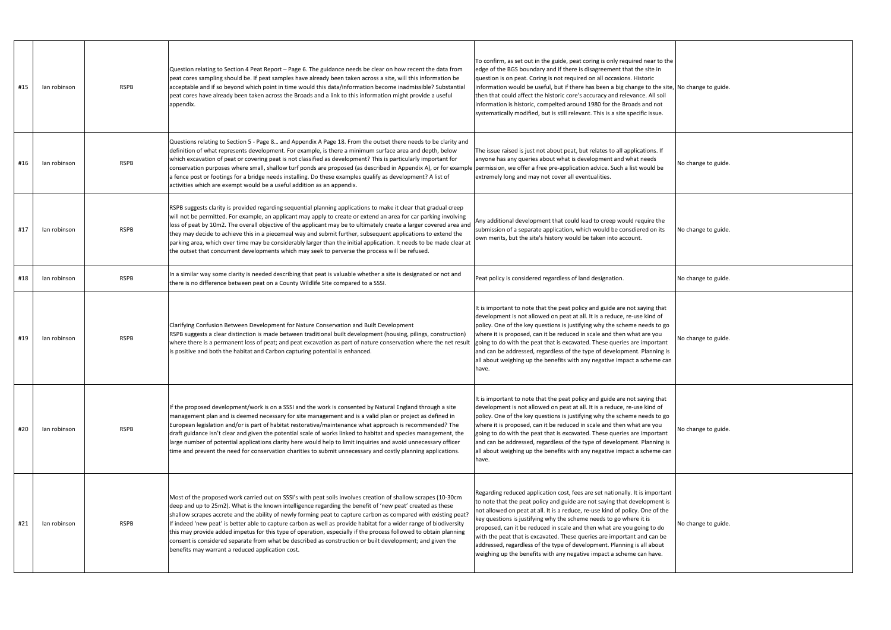| #15 | lan robinson | <b>RSPB</b> | Question relating to Section 4 Peat Report - Page 6. The guidance needs be clear on how recent the data from<br>peat cores sampling should be. If peat samples have already been taken across a site, will this information be<br>acceptable and if so beyond which point in time would this data/information become inadmissible? Substantial<br>peat cores have already been taken across the Broads and a link to this information might provide a useful<br>appendix.                                                                                                                                                                                                                                                                                | To confirm, as set out in the guide, peat coring is only required near to the<br>edge of the BGS boundary and if there is disagreement that the site in<br>question is on peat. Coring is not required on all occasions. Historic<br>information would be useful, but if there has been a big change to the site, No change to guide.<br>then that could affect the historic core's accuracy and relevance. All soil<br>information is historic, compelted around 1980 for the Broads and not<br>systematically modified, but is still relevant. This is a site specific issue.                                          |                     |
|-----|--------------|-------------|----------------------------------------------------------------------------------------------------------------------------------------------------------------------------------------------------------------------------------------------------------------------------------------------------------------------------------------------------------------------------------------------------------------------------------------------------------------------------------------------------------------------------------------------------------------------------------------------------------------------------------------------------------------------------------------------------------------------------------------------------------|--------------------------------------------------------------------------------------------------------------------------------------------------------------------------------------------------------------------------------------------------------------------------------------------------------------------------------------------------------------------------------------------------------------------------------------------------------------------------------------------------------------------------------------------------------------------------------------------------------------------------|---------------------|
| #16 | lan robinson | <b>RSPB</b> | Questions relating to Section 5 - Page 8 and Appendix A Page 18. From the outset there needs to be clarity and<br>definition of what represents development. For example, is there a minimum surface area and depth, below<br>which excavation of peat or covering peat is not classified as development? This is particularly important for<br>conservation purposes where small, shallow turf ponds are proposed (as described in Appendix A), or for example<br>a fence post or footings for a bridge needs installing. Do these examples qualify as development? A list of<br>activities which are exempt would be a useful addition as an appendix.                                                                                                 | The issue raised is just not about peat, but relates to all applications. If<br>anyone has any queries about what is development and what needs<br>permission, we offer a free pre-application advice. Such a list would be<br>extremely long and may not cover all eventualities.                                                                                                                                                                                                                                                                                                                                       | No change to guide. |
| #17 | lan robinson | <b>RSPB</b> | RSPB suggests clarity is provided regarding sequential planning applications to make it clear that gradual creep<br>will not be permitted. For example, an applicant may apply to create or extend an area for car parking involving<br>loss of peat by 10m2. The overall objective of the applicant may be to ultimately create a larger covered area and<br>they may decide to achieve this in a piecemeal way and submit further, subsequent applications to extend the<br>parking area, which over time may be considerably larger than the initial application. It needs to be made clear at<br>the outset that concurrent developments which may seek to perverse the process will be refused.                                                     | Any additional development that could lead to creep would require the<br>submission of a separate application, which would be consdiered on its<br>own merits, but the site's history would be taken into account.                                                                                                                                                                                                                                                                                                                                                                                                       | No change to guide. |
| #18 | lan robinson | <b>RSPB</b> | In a similar way some clarity is needed describing that peat is valuable whether a site is designated or not and<br>there is no difference between peat on a County Wildlife Site compared to a SSSI.                                                                                                                                                                                                                                                                                                                                                                                                                                                                                                                                                    | Peat policy is considered regardless of land designation.                                                                                                                                                                                                                                                                                                                                                                                                                                                                                                                                                                | No change to guide. |
| #19 | lan robinson | <b>RSPB</b> | Clarifying Confusion Between Development for Nature Conservation and Built Development<br>RSPB suggests a clear distinction is made between traditional built development (housing, pilings, construction)<br>where there is a permanent loss of peat; and peat excavation as part of nature conservation where the net result<br>is positive and both the habitat and Carbon capturing potential is enhanced.                                                                                                                                                                                                                                                                                                                                           | It is important to note that the peat policy and guide are not saying that<br>development is not allowed on peat at all. It is a reduce, re-use kind of<br>policy. One of the key questions is justifying why the scheme needs to go<br>where it is proposed, can it be reduced in scale and then what are you<br>going to do with the peat that is excavated. These queries are important<br>and can be addressed, regardless of the type of development. Planning is<br>all about weighing up the benefits with any negative impact a scheme can<br>have.                                                              | No change to guide. |
| #20 | lan robinson | <b>RSPB</b> | If the proposed development/work is on a SSSI and the work is consented by Natural England through a site<br>management plan and is deemed necessary for site management and is a valid plan or project as defined in<br>European legislation and/or is part of habitat restorative/maintenance what approach is recommended? The<br>draft guidance isn't clear and given the potential scale of works linked to habitat and species management, the<br>large number of potential applications clarity here would help to limit inquiries and avoid unnecessary officer<br>time and prevent the need for conservation charities to submit unnecessary and costly planning applications.                                                                  | It is important to note that the peat policy and guide are not saying that<br>development is not allowed on peat at all. It is a reduce, re-use kind of<br>policy. One of the key questions is justifying why the scheme needs to go<br>where it is proposed, can it be reduced in scale and then what are you<br>going to do with the peat that is excavated. These queries are important<br>and can be addressed, regardless of the type of development. Planning is<br>all about weighing up the benefits with any negative impact a scheme can<br>have.                                                              | No change to guide. |
| #21 | lan robinson | <b>RSPB</b> | Most of the proposed work carried out on SSSI's with peat soils involves creation of shallow scrapes (10-30cm<br>deep and up to 25m2). What is the known intelligence regarding the benefit of 'new peat' created as these<br>shallow scrapes accrete and the ability of newly forming peat to capture carbon as compared with existing peat?<br>If indeed 'new peat' is better able to capture carbon as well as provide habitat for a wider range of biodiversity<br>this may provide added impetus for this type of operation, especially if the process followed to obtain planning<br>consent is considered separate from what be described as construction or built development; and given the<br>benefits may warrant a reduced application cost. | Regarding reduced application cost, fees are set nationally. It is important<br>to note that the peat policy and guide are not saying that development is<br>not allowed on peat at all. It is a reduce, re-use kind of policy. One of the<br>key questions is justifying why the scheme needs to go where it is<br>proposed, can it be reduced in scale and then what are you going to do<br>with the peat that is excavated. These queries are important and can be<br>addressed, regardless of the type of development. Planning is all about<br>weighing up the benefits with any negative impact a scheme can have. | No change to guide. |

| No change to guide. |
|---------------------|
| No change to guide. |
| No change to guide. |
| No change to guide. |
| No change to guide. |
| No change to guide. |
| No change to guide. |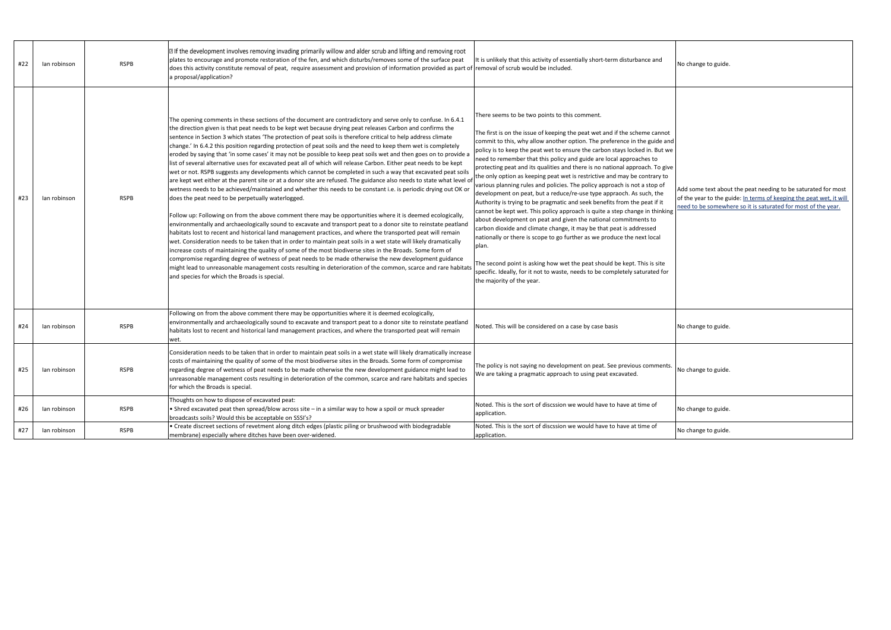| #22 | lan robinson | <b>RSPB</b> | I If the development involves removing invading primarily willow and alder scrub and lifting and removing root<br>plates to encourage and promote restoration of the fen, and which disturbs/removes some of the surface peat<br>does this activity constitute removal of peat, require assessment and provision of information provided as part of removal of scrub would be included.<br>a proposal/application?                                                                                                                                                                                                                                                                                                                                                                                                                                                                                                                                                                                                                                                                                                                                                                                                                                                                                                                                                                                                                                                                                                                                                                                                                                                                                                                                                                                                                                                                                                                                                                         | It is unlikely that this activity of essentially short-term disturbance and                                                                                                                                                                                                                                                                                                                                                                                                                                                                                                                                                                                                                                                                                                                                                                                                                                                                                                                                                                                                                                                                                                                                                                                         | No change to guide.                                              |
|-----|--------------|-------------|--------------------------------------------------------------------------------------------------------------------------------------------------------------------------------------------------------------------------------------------------------------------------------------------------------------------------------------------------------------------------------------------------------------------------------------------------------------------------------------------------------------------------------------------------------------------------------------------------------------------------------------------------------------------------------------------------------------------------------------------------------------------------------------------------------------------------------------------------------------------------------------------------------------------------------------------------------------------------------------------------------------------------------------------------------------------------------------------------------------------------------------------------------------------------------------------------------------------------------------------------------------------------------------------------------------------------------------------------------------------------------------------------------------------------------------------------------------------------------------------------------------------------------------------------------------------------------------------------------------------------------------------------------------------------------------------------------------------------------------------------------------------------------------------------------------------------------------------------------------------------------------------------------------------------------------------------------------------------------------------|---------------------------------------------------------------------------------------------------------------------------------------------------------------------------------------------------------------------------------------------------------------------------------------------------------------------------------------------------------------------------------------------------------------------------------------------------------------------------------------------------------------------------------------------------------------------------------------------------------------------------------------------------------------------------------------------------------------------------------------------------------------------------------------------------------------------------------------------------------------------------------------------------------------------------------------------------------------------------------------------------------------------------------------------------------------------------------------------------------------------------------------------------------------------------------------------------------------------------------------------------------------------|------------------------------------------------------------------|
| #23 | lan robinson | <b>RSPB</b> | The opening comments in these sections of the document are contradictory and serve only to confuse. In 6.4.1<br>the direction given is that peat needs to be kept wet because drying peat releases Carbon and confirms the<br>sentence in Section 3 which states 'The protection of peat soils is therefore critical to help address climate<br>change.' In 6.4.2 this position regarding protection of peat soils and the need to keep them wet is completely<br>eroded by saying that 'in some cases' it may not be possible to keep peat soils wet and then goes on to provide a<br>list of several alternative uses for excavated peat all of which will release Carbon. Either peat needs to be kept<br>wet or not. RSPB suggests any developments which cannot be completed in such a way that excavated peat soils<br>are kept wet either at the parent site or at a donor site are refused. The guidance also needs to state what level of<br>wetness needs to be achieved/maintained and whether this needs to be constant i.e. is periodic drying out OK or<br>does the peat need to be perpetually waterlogged.<br>Follow up: Following on from the above comment there may be opportunities where it is deemed ecologically,<br>environmentally and archaeologically sound to excavate and transport peat to a donor site to reinstate peatland<br>habitats lost to recent and historical land management practices, and where the transported peat will remain<br>wet. Consideration needs to be taken that in order to maintain peat soils in a wet state will likely dramatically<br>increase costs of maintaining the quality of some of the most biodiverse sites in the Broads. Some form of<br>compromise regarding degree of wetness of peat needs to be made otherwise the new development guidance<br>might lead to unreasonable management costs resulting in deterioration of the common, scarce and rare habitats<br>and species for which the Broads is special. | There seems to be two points to this comment.<br>The first is on the issue of keeping the peat wet and if the scheme cannot<br>commit to this, why allow another option. The preference in the guide and<br>policy is to keep the peat wet to ensure the carbon stays locked in. But we<br>need to remember that this policy and guide are local approaches to<br>protecting peat and its qualities and there is no national approach. To give<br>the only option as keeping peat wet is restrictive and may be contrary to<br>various planning rules and policies. The policy approach is not a stop of<br>development on peat, but a reduce/re-use type appraoch. As such, the<br>Authority is trying to be pragmatic and seek benefits from the peat if it<br>cannot be kept wet. This policy approach is quite a step change in thinking<br>about development on peat and given the national commitments to<br>carbon dioxide and climate change, it may be that peat is addressed<br>nationally or there is scope to go further as we produce the next local<br>plan.<br>The second point is asking how wet the peat should be kept. This is site<br>specific. Ideally, for it not to waste, needs to be completely saturated for<br>the majority of the year. | Add some text abou<br>of the year to the gu<br>need to be somewh |
| #24 | lan robinson | <b>RSPB</b> | Following on from the above comment there may be opportunities where it is deemed ecologically,<br>environmentally and archaeologically sound to excavate and transport peat to a donor site to reinstate peatland<br>habitats lost to recent and historical land management practices, and where the transported peat will remain<br>wet.                                                                                                                                                                                                                                                                                                                                                                                                                                                                                                                                                                                                                                                                                                                                                                                                                                                                                                                                                                                                                                                                                                                                                                                                                                                                                                                                                                                                                                                                                                                                                                                                                                                 | Noted. This will be considered on a case by case basis                                                                                                                                                                                                                                                                                                                                                                                                                                                                                                                                                                                                                                                                                                                                                                                                                                                                                                                                                                                                                                                                                                                                                                                                              | No change to guide.                                              |
| #25 | lan robinson | <b>RSPB</b> | Consideration needs to be taken that in order to maintain peat soils in a wet state will likely dramatically increase<br>costs of maintaining the quality of some of the most biodiverse sites in the Broads. Some form of compromise<br>regarding degree of wetness of peat needs to be made otherwise the new development guidance might lead to<br>unreasonable management costs resulting in deterioration of the common, scarce and rare habitats and species<br>for which the Broads is special.                                                                                                                                                                                                                                                                                                                                                                                                                                                                                                                                                                                                                                                                                                                                                                                                                                                                                                                                                                                                                                                                                                                                                                                                                                                                                                                                                                                                                                                                                     | The policy is not saying no development on peat. See previous comments.<br>We are taking a pragmatic approach to using peat excavated.                                                                                                                                                                                                                                                                                                                                                                                                                                                                                                                                                                                                                                                                                                                                                                                                                                                                                                                                                                                                                                                                                                                              | No change to guide.                                              |
| #26 | lan robinson | <b>RSPB</b> | Thoughts on how to dispose of excavated peat:<br>• Shred excavated peat then spread/blow across site - in a similar way to how a spoil or muck spreader<br>broadcasts soils? Would this be acceptable on SSSI's?                                                                                                                                                                                                                                                                                                                                                                                                                                                                                                                                                                                                                                                                                                                                                                                                                                                                                                                                                                                                                                                                                                                                                                                                                                                                                                                                                                                                                                                                                                                                                                                                                                                                                                                                                                           | Noted. This is the sort of discssion we would have to have at time of<br>application.                                                                                                                                                                                                                                                                                                                                                                                                                                                                                                                                                                                                                                                                                                                                                                                                                                                                                                                                                                                                                                                                                                                                                                               | No change to guide.                                              |
| #27 | lan robinson | <b>RSPB</b> | · Create discreet sections of revetment along ditch edges (plastic piling or brushwood with biodegradable<br>membrane) especially where ditches have been over-widened.                                                                                                                                                                                                                                                                                                                                                                                                                                                                                                                                                                                                                                                                                                                                                                                                                                                                                                                                                                                                                                                                                                                                                                                                                                                                                                                                                                                                                                                                                                                                                                                                                                                                                                                                                                                                                    | Noted. This is the sort of discssion we would have to have at time of<br>application.                                                                                                                                                                                                                                                                                                                                                                                                                                                                                                                                                                                                                                                                                                                                                                                                                                                                                                                                                                                                                                                                                                                                                                               | No change to guide.                                              |

|             | No change to guide.                                                                                                                                                                                   |
|-------------|-------------------------------------------------------------------------------------------------------------------------------------------------------------------------------------------------------|
| d<br>e<br>e |                                                                                                                                                                                                       |
| 3           | Add some text about the peat needing to be saturated for most<br>of the year to the guide: In terms of keeping the peat wet, it will<br>need to be somewhere so it is saturated for most of the year. |
|             | No change to guide.                                                                                                                                                                                   |
|             | No change to guide.                                                                                                                                                                                   |
|             | No change to guide.                                                                                                                                                                                   |
|             | No change to guide.                                                                                                                                                                                   |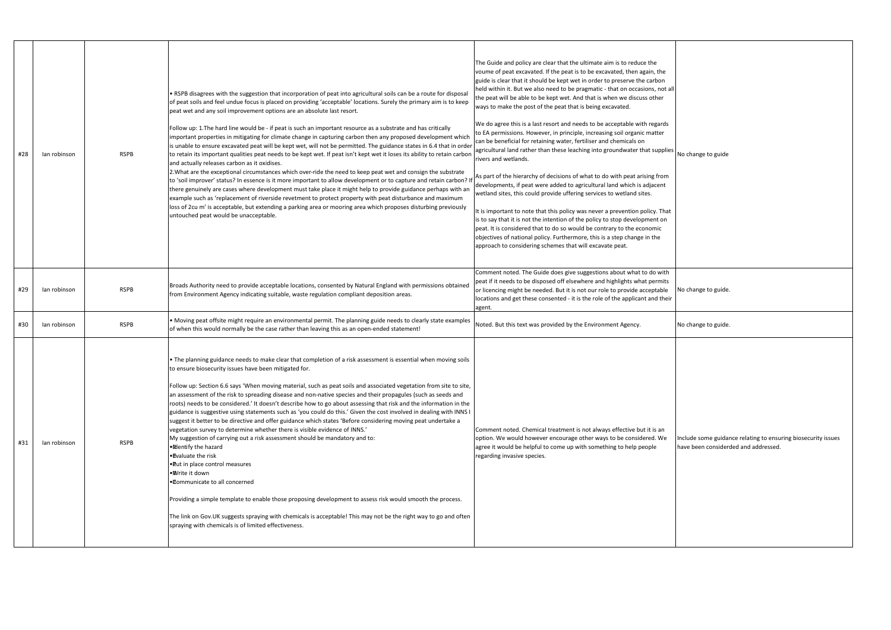| #28 | lan robinson | <b>RSPB</b> | • RSPB disagrees with the suggestion that incorporation of peat into agricultural soils can be a route for disposal<br>of peat soils and feel undue focus is placed on providing 'acceptable' locations. Surely the primary aim is to keep<br>peat wet and any soil improvement options are an absolute last resort.<br>Follow up: 1.The hard line would be - if peat is such an important resource as a substrate and has critically<br>important properties in mitigating for climate change in capturing carbon then any proposed development which<br>is unable to ensure excavated peat will be kept wet, will not be permitted. The guidance states in 6.4 that in order<br>to retain its important qualities peat needs to be kept wet. If peat isn't kept wet it loses its ability to retain carbon<br>and actually releases carbon as it oxidises.<br>2. What are the exceptional circumstances which over-ride the need to keep peat wet and consign the substrate<br>to 'soil improver' status? In essence is it more important to allow development or to capture and retain carbon? If<br>there genuinely are cases where development must take place it might help to provide guidance perhaps with an<br>example such as 'replacement of riverside revetment to protect property with peat disturbance and maximum<br>loss of 2cu m' is acceptable, but extending a parking area or mooring area which proposes disturbing previously<br>untouched peat would be unacceptable. | The Guide and policy are clear that the ultimate aim is to reduce the<br>voume of peat excavated. If the peat is to be excavated, then again, the<br>guide is clear that it should be kept wet in order to preserve the carbon<br>held within it. But we also need to be pragmatic - that on occasions, not all<br>the peat will be able to be kept wet. And that is when we discuss other<br>ways to make the post of the peat that is being excavated.<br>We do agree this is a last resort and needs to be acceptable with regards<br>to EA permissions. However, in principle, increasing soil organic matter<br>can be beneficial for retaining water, fertiliser and chemicals on<br>agricultural land rather than these leaching into groundwater that supplies<br>rivers and wetlands.<br>As part of the hierarchy of decisions of what to do with peat arising from<br>developments, if peat were added to agricultural land which is adjacent<br>wetland sites, this could provide uffering services to wetland sites.<br>It is important to note that this policy was never a prevention policy. That<br>is to say that it is not the intention of the policy to stop development on<br>peat. It is considered that to do so would be contrary to the economic<br>objectives of national policy. Furthermore, this is a step change in the<br>approach to considering schemes that will excavate peat. | No change to guide                        |
|-----|--------------|-------------|-----------------------------------------------------------------------------------------------------------------------------------------------------------------------------------------------------------------------------------------------------------------------------------------------------------------------------------------------------------------------------------------------------------------------------------------------------------------------------------------------------------------------------------------------------------------------------------------------------------------------------------------------------------------------------------------------------------------------------------------------------------------------------------------------------------------------------------------------------------------------------------------------------------------------------------------------------------------------------------------------------------------------------------------------------------------------------------------------------------------------------------------------------------------------------------------------------------------------------------------------------------------------------------------------------------------------------------------------------------------------------------------------------------------------------------------------------------------------------------------------|-------------------------------------------------------------------------------------------------------------------------------------------------------------------------------------------------------------------------------------------------------------------------------------------------------------------------------------------------------------------------------------------------------------------------------------------------------------------------------------------------------------------------------------------------------------------------------------------------------------------------------------------------------------------------------------------------------------------------------------------------------------------------------------------------------------------------------------------------------------------------------------------------------------------------------------------------------------------------------------------------------------------------------------------------------------------------------------------------------------------------------------------------------------------------------------------------------------------------------------------------------------------------------------------------------------------------------------------------------------------------------------------------------------------|-------------------------------------------|
| #29 | lan robinson | <b>RSPB</b> | Broads Authority need to provide acceptable locations, consented by Natural England with permissions obtained<br>from Environment Agency indicating suitable, waste regulation compliant deposition areas.                                                                                                                                                                                                                                                                                                                                                                                                                                                                                                                                                                                                                                                                                                                                                                                                                                                                                                                                                                                                                                                                                                                                                                                                                                                                                    | Comment noted. The Guide does give suggestions about what to do with<br>peat if it needs to be disposed off elsewhere and highlights what permits<br>or licencing might be needed. But it is not our role to provide acceptable<br>locations and get these consented - it is the role of the applicant and their<br>agent.                                                                                                                                                                                                                                                                                                                                                                                                                                                                                                                                                                                                                                                                                                                                                                                                                                                                                                                                                                                                                                                                                        | No change to guide.                       |
| #30 | lan robinson | <b>RSPB</b> | Moving peat offsite might require an environmental permit. The planning guide needs to clearly state examples<br>of when this would normally be the case rather than leaving this as an open-ended statement!                                                                                                                                                                                                                                                                                                                                                                                                                                                                                                                                                                                                                                                                                                                                                                                                                                                                                                                                                                                                                                                                                                                                                                                                                                                                                 | Noted. But this text was provided by the Environment Agency.                                                                                                                                                                                                                                                                                                                                                                                                                                                                                                                                                                                                                                                                                                                                                                                                                                                                                                                                                                                                                                                                                                                                                                                                                                                                                                                                                      | No change to guide.                       |
| #31 | lan robinson | <b>RSPB</b> | . The planning guidance needs to make clear that completion of a risk assessment is essential when moving soils<br>to ensure biosecurity issues have been mitigated for.<br>Follow up: Section 6.6 says 'When moving material, such as peat soils and associated vegetation from site to site,<br>an assessment of the risk to spreading disease and non-native species and their propagules (such as seeds and<br>roots) needs to be considered.' It doesn't describe how to go about assessing that risk and the information in the<br>guidance is suggestive using statements such as 'you could do this.' Given the cost involved in dealing with INNS I<br>suggest it better to be directive and offer guidance which states 'Before considering moving peat undertake a<br>vegetation survey to determine whether there is visible evidence of INNS.'<br>My suggestion of carrying out a risk assessment should be mandatory and to:<br>• Mentify the hazard<br>•Evaluate the risk<br>. Put in place control measures<br>∙®vrite it down<br>. Communicate to all concerned<br>Providing a simple template to enable those proposing development to assess risk would smooth the process.<br>The link on Gov.UK suggests spraying with chemicals is acceptable! This may not be the right way to go and often<br>spraying with chemicals is of limited effectiveness.                                                                                                                    | Comment noted. Chemical treatment is not always effective but it is an<br>option. We would however encourage other ways to be considered. We<br>agree it would be helpful to come up with something to help people<br>regarding invasive species.                                                                                                                                                                                                                                                                                                                                                                                                                                                                                                                                                                                                                                                                                                                                                                                                                                                                                                                                                                                                                                                                                                                                                                 | Include some guidar<br>have been consider |

| I<br>$\overline{\phantom{0}}$ | No change to guide                                                                                    |
|-------------------------------|-------------------------------------------------------------------------------------------------------|
|                               | No change to guide.                                                                                   |
|                               | No change to guide.                                                                                   |
|                               | Include some guidance relating to ensuring biosecurity issues<br>have been considerded and addressed. |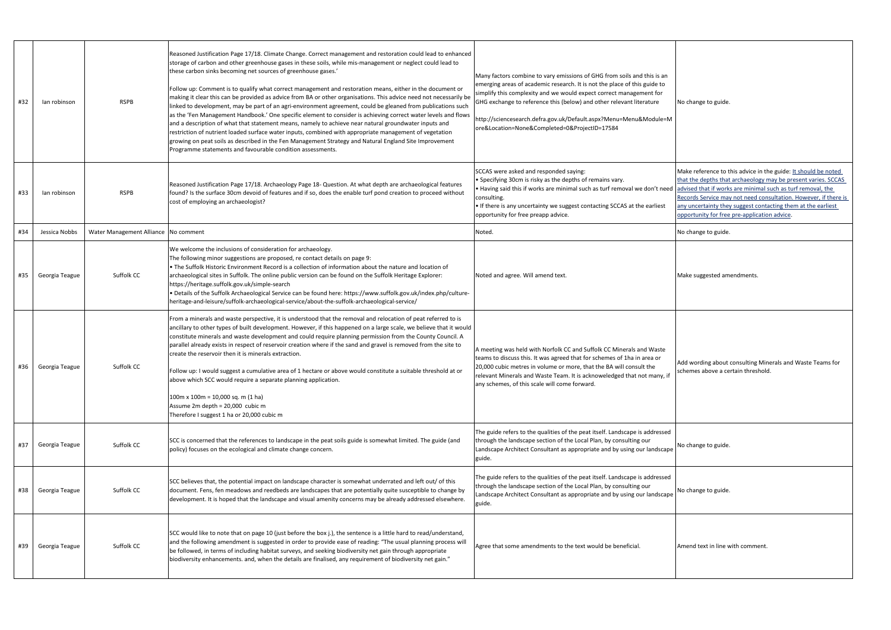Make reference to this advice in the guide: It should be noted that the depths that archaeology may be present varies. SCCAS advised that if works are minimal such as turf removal, the Records Service may not need consultation. However, if there is any uncertainty they suggest contacting them at the earliest opportunity for free pre-application advice.

Make suggested amendments.

|  | No change to guide. |  |  |
|--|---------------------|--|--|
|--|---------------------|--|--|

| #32 | lan robinson   | <b>RSPB</b>                          | Reasoned Justification Page 17/18. Climate Change. Correct management and restoration could lead to enhanced<br>storage of carbon and other greenhouse gases in these soils, while mis-management or neglect could lead to<br>these carbon sinks becoming net sources of greenhouse gases.'<br>Follow up: Comment is to qualify what correct management and restoration means, either in the document or<br>making it clear this can be provided as advice from BA or other organisations. This advice need not necessarily be<br>linked to development, may be part of an agri-environment agreement, could be gleaned from publications such<br>as the 'Fen Management Handbook.' One specific element to consider is achieving correct water levels and flows<br>and a description of what that statement means, namely to achieve near natural groundwater inputs and<br>restriction of nutrient loaded surface water inputs, combined with appropriate management of vegetation<br>growing on peat soils as described in the Fen Management Strategy and Natural England Site Improvement<br>Programme statements and favourable condition assessments. | Many factors combine to vary emissions of GHG from soils and this is an<br>emerging areas of academic research. It is not the place of this guide to<br>simplify this complexity and we would expect correct management for<br>GHG exchange to reference this (below) and other relevant literature<br>http://sciencesearch.defra.gov.uk/Default.aspx?Menu=Menu&Module=M<br>ore&Location=None&Completed=0&ProjectID=17584 | No change to guide.                                                                                                                       |
|-----|----------------|--------------------------------------|--------------------------------------------------------------------------------------------------------------------------------------------------------------------------------------------------------------------------------------------------------------------------------------------------------------------------------------------------------------------------------------------------------------------------------------------------------------------------------------------------------------------------------------------------------------------------------------------------------------------------------------------------------------------------------------------------------------------------------------------------------------------------------------------------------------------------------------------------------------------------------------------------------------------------------------------------------------------------------------------------------------------------------------------------------------------------------------------------------------------------------------------------------------|---------------------------------------------------------------------------------------------------------------------------------------------------------------------------------------------------------------------------------------------------------------------------------------------------------------------------------------------------------------------------------------------------------------------------|-------------------------------------------------------------------------------------------------------------------------------------------|
| #33 | lan robinson   | <b>RSPB</b>                          | Reasoned Justification Page 17/18. Archaeology Page 18- Question. At what depth are archaeological features<br>found? Is the surface 30cm devoid of features and if so, does the enable turf pond creation to proceed without<br>cost of employing an archaeologist?                                                                                                                                                                                                                                                                                                                                                                                                                                                                                                                                                                                                                                                                                                                                                                                                                                                                                         | SCCAS were asked and responded saying:<br>• Specifying 30cm is risky as the depths of remains vary.<br>Having said this if works are minimal such as turf removal we don't need<br>consulting.<br>If there is any uncertainty we suggest contacting SCCAS at the earliest<br>opportunity for free preapp advice.                                                                                                          | Make reference to t<br>that the depths that<br>advised that if work<br>Records Service may<br>any uncertainty the<br>opportunity for free |
| #34 | Jessica Nobbs  | Water Management Alliance No comment |                                                                                                                                                                                                                                                                                                                                                                                                                                                                                                                                                                                                                                                                                                                                                                                                                                                                                                                                                                                                                                                                                                                                                              | Noted.                                                                                                                                                                                                                                                                                                                                                                                                                    | No change to guide.                                                                                                                       |
| #35 | Georgia Teague | Suffolk CC                           | We welcome the inclusions of consideration for archaeology.<br>The following minor suggestions are proposed, re contact details on page 9:<br>. The Suffolk Historic Environment Record is a collection of information about the nature and location of<br>archaeological sites in Suffolk. The online public version can be found on the Suffolk Heritage Explorer:<br>https://heritage.suffolk.gov.uk/simple-search<br>. Details of the Suffolk Archaeological Service can be found here: https://www.suffolk.gov.uk/index.php/culture-<br>heritage-and-leisure/suffolk-archaeological-service/about-the-suffolk-archaeological-service/                                                                                                                                                                                                                                                                                                                                                                                                                                                                                                                   | Noted and agree. Will amend text.                                                                                                                                                                                                                                                                                                                                                                                         | Make suggested am                                                                                                                         |
| #36 | Georgia Teague | Suffolk CC                           | From a minerals and waste perspective, it is understood that the removal and relocation of peat referred to is<br>ancillary to other types of built development. However, if this happened on a large scale, we believe that it would<br>constitute minerals and waste development and could require planning permission from the County Council. A<br>parallel already exists in respect of reservoir creation where if the sand and gravel is removed from the site to<br>create the reservoir then it is minerals extraction.<br>Follow up: I would suggest a cumulative area of 1 hectare or above would constitute a suitable threshold at or<br>above which SCC would require a separate planning application.<br>$100m \times 100m = 10,000$ sq. m (1 ha)<br>Assume 2m depth = 20,000 cubic m<br>Therefore I suggest 1 ha or 20,000 cubic m                                                                                                                                                                                                                                                                                                           | A meeting was held with Norfolk CC and Suffolk CC Minerals and Waste<br>teams to discuss this. It was agreed that for schemes of 1ha in area or<br>20,000 cubic metres in volume or more, that the BA will consult the<br>relevant Minerals and Waste Team. It is acknoweledged that not many, if<br>any schemes, of this scale will come forward.                                                                        | Add wording about<br>schemes above a ce                                                                                                   |
| #37 | Georgia Teague | Suffolk CC                           | SCC is concerned that the references to landscape in the peat soils guide is somewhat limited. The guide (and<br>policy) focuses on the ecological and climate change concern.                                                                                                                                                                                                                                                                                                                                                                                                                                                                                                                                                                                                                                                                                                                                                                                                                                                                                                                                                                               | The guide refers to the qualities of the peat itself. Landscape is addressed<br>through the landscape section of the Local Plan, by consulting our<br>Landscape Architect Consultant as appropriate and by using our landscape<br>guide.                                                                                                                                                                                  | No change to guide.                                                                                                                       |
| #38 | Georgia Teague | Suffolk CC                           | SCC believes that, the potential impact on landscape character is somewhat underrated and left out/ of this<br>document. Fens, fen meadows and reedbeds are landscapes that are potentially quite susceptible to change by<br>development. It is hoped that the landscape and visual amenity concerns may be already addressed elsewhere.                                                                                                                                                                                                                                                                                                                                                                                                                                                                                                                                                                                                                                                                                                                                                                                                                    | The guide refers to the qualities of the peat itself. Landscape is addressed<br>through the landscape section of the Local Plan, by consulting our<br>Landscape Architect Consultant as appropriate and by using our landscape<br>guide.                                                                                                                                                                                  | No change to guide.                                                                                                                       |
| #39 | Georgia Teague | Suffolk CC                           | SCC would like to note that on page 10 (just before the box j.), the sentence is a little hard to read/understand,<br>and the following amendment is suggested in order to provide ease of reading: "The usual planning process will<br>be followed, in terms of including habitat surveys, and seeking biodiversity net gain through appropriate<br>biodiversity enhancements. and, when the details are finalised, any requirement of biodiversity net gain."                                                                                                                                                                                                                                                                                                                                                                                                                                                                                                                                                                                                                                                                                              | Agree that some amendments to the text would be beneficial.                                                                                                                                                                                                                                                                                                                                                               | Amend text in line v                                                                                                                      |

Add wording about consulting Minerals and Waste Teams for schemes above a certain threshold.

Amend text in line with comment.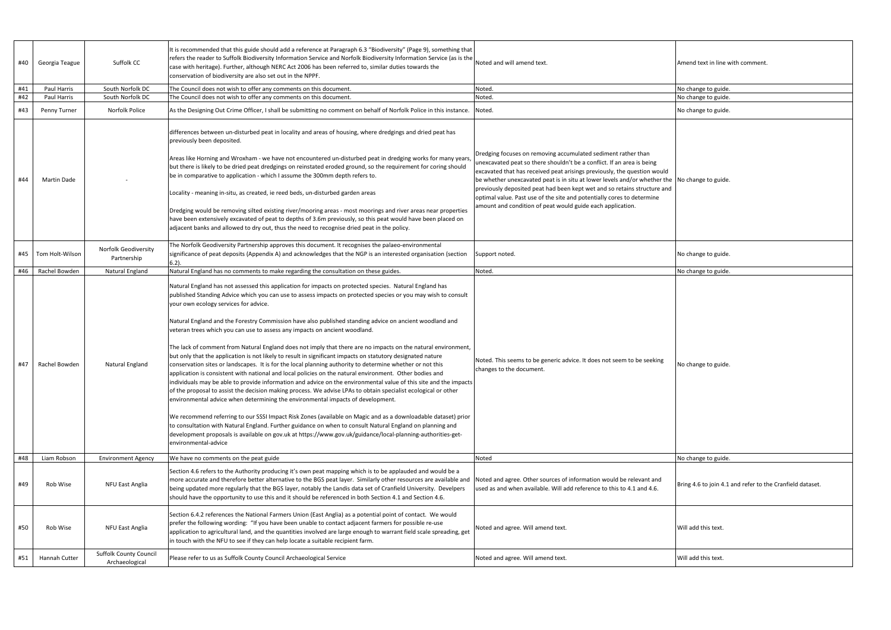| Amend text in line with comment.                          |
|-----------------------------------------------------------|
| No change to guide.                                       |
| No change to guide.                                       |
| No change to guide.                                       |
| No change to guide.                                       |
| No change to guide.                                       |
| No change to guide.                                       |
| No change to guide.                                       |
| No change to guide.                                       |
| Bring 4.6 to join 4.1 and refer to the Cranfield dataset. |
| Will add this text.                                       |
| Will add this text.                                       |

| #40 | Georgia Teague  | Suffolk CC                                      | It is recommended that this guide should add a reference at Paragraph 6.3 "Biodiversity" (Page 9), something that<br>refers the reader to Suffolk Biodiversity Information Service and Norfolk Biodiversity Information Service (as is the<br>case with heritage). Further, although NERC Act 2006 has been referred to, similar duties towards the<br>conservation of biodiversity are also set out in the NPPF.                                                                                                                                                                                                                                                                                                                                                                                                                                                                                                                                                                                                                                                                                                                                                                                                                                                                                                                                                                                                                                                                                                                                                                                                 | Noted and will amend text.                                                                                                                                                                                                                                                                                                                                                                                                                                                                                           | Amend text in line with comment.                          |
|-----|-----------------|-------------------------------------------------|-------------------------------------------------------------------------------------------------------------------------------------------------------------------------------------------------------------------------------------------------------------------------------------------------------------------------------------------------------------------------------------------------------------------------------------------------------------------------------------------------------------------------------------------------------------------------------------------------------------------------------------------------------------------------------------------------------------------------------------------------------------------------------------------------------------------------------------------------------------------------------------------------------------------------------------------------------------------------------------------------------------------------------------------------------------------------------------------------------------------------------------------------------------------------------------------------------------------------------------------------------------------------------------------------------------------------------------------------------------------------------------------------------------------------------------------------------------------------------------------------------------------------------------------------------------------------------------------------------------------|----------------------------------------------------------------------------------------------------------------------------------------------------------------------------------------------------------------------------------------------------------------------------------------------------------------------------------------------------------------------------------------------------------------------------------------------------------------------------------------------------------------------|-----------------------------------------------------------|
| #41 | Paul Harris     | South Norfolk DC                                | The Council does not wish to offer any comments on this document.                                                                                                                                                                                                                                                                                                                                                                                                                                                                                                                                                                                                                                                                                                                                                                                                                                                                                                                                                                                                                                                                                                                                                                                                                                                                                                                                                                                                                                                                                                                                                 | Noted.                                                                                                                                                                                                                                                                                                                                                                                                                                                                                                               | No change to guide.                                       |
| #42 | Paul Harris     | South Norfolk DC                                | The Council does not wish to offer any comments on this document.                                                                                                                                                                                                                                                                                                                                                                                                                                                                                                                                                                                                                                                                                                                                                                                                                                                                                                                                                                                                                                                                                                                                                                                                                                                                                                                                                                                                                                                                                                                                                 | Noted.                                                                                                                                                                                                                                                                                                                                                                                                                                                                                                               | No change to guide.                                       |
| #43 | Penny Turner    | Norfolk Police                                  | As the Designing Out Crime Officer, I shall be submitting no comment on behalf of Norfolk Police in this instance. Noted.                                                                                                                                                                                                                                                                                                                                                                                                                                                                                                                                                                                                                                                                                                                                                                                                                                                                                                                                                                                                                                                                                                                                                                                                                                                                                                                                                                                                                                                                                         |                                                                                                                                                                                                                                                                                                                                                                                                                                                                                                                      | No change to guide.                                       |
| #44 | Martin Dade     |                                                 | differences between un-disturbed peat in locality and areas of housing, where dredgings and dried peat has<br>previously been deposited.<br>Areas like Horning and Wroxham - we have not encountered un-disturbed peat in dredging works for many years<br>but there is likely to be dried peat dredgings on reinstated eroded ground, so the requirement for coring should<br>be in comparative to application - which I assume the 300mm depth refers to.<br>Locality - meaning in-situ, as created, ie reed beds, un-disturbed garden areas<br>Dredging would be removing silted existing river/mooring areas - most moorings and river areas near properties<br>have been extensively excavated of peat to depths of 3.6m previously, so this peat would have been placed on<br>adjacent banks and allowed to dry out, thus the need to recognise dried peat in the policy.                                                                                                                                                                                                                                                                                                                                                                                                                                                                                                                                                                                                                                                                                                                                   | Dredging focuses on removing accumulated sediment rather than<br>unexcavated peat so there shouldn't be a conflict. If an area is being<br>excavated that has received peat arisings previously, the question would<br>be whether unexcavated peat is in situ at lower levels and/or whether the<br>previously deposited peat had been kept wet and so retains structure and<br>optimal value. Past use of the site and potentially cores to determine<br>amount and condition of peat would guide each application. | No change to guide.                                       |
| #45 | Tom Holt-Wilson | <b>Norfolk Geodiversity</b><br>Partnership      | The Norfolk Geodiversity Partnership approves this document. It recognises the palaeo-environmental<br>significance of peat deposits (Appendix A) and acknowledges that the NGP is an interested organisation (section<br>$6.2$ ).                                                                                                                                                                                                                                                                                                                                                                                                                                                                                                                                                                                                                                                                                                                                                                                                                                                                                                                                                                                                                                                                                                                                                                                                                                                                                                                                                                                | Support noted.                                                                                                                                                                                                                                                                                                                                                                                                                                                                                                       | No change to guide.                                       |
| #46 | Rachel Bowden   | Natural England                                 | Natural England has no comments to make regarding the consultation on these guides.                                                                                                                                                                                                                                                                                                                                                                                                                                                                                                                                                                                                                                                                                                                                                                                                                                                                                                                                                                                                                                                                                                                                                                                                                                                                                                                                                                                                                                                                                                                               | Noted.                                                                                                                                                                                                                                                                                                                                                                                                                                                                                                               | No change to guide.                                       |
| #47 | Rachel Bowden   | Natural England                                 | Natural England has not assessed this application for impacts on protected species. Natural England has<br>published Standing Advice which you can use to assess impacts on protected species or you may wish to consult<br>your own ecology services for advice.<br>Natural England and the Forestry Commission have also published standing advice on ancient woodland and<br>veteran trees which you can use to assess any impacts on ancient woodland.<br>The lack of comment from Natural England does not imply that there are no impacts on the natural environment,<br>but only that the application is not likely to result in significant impacts on statutory designated nature<br>conservation sites or landscapes. It is for the local planning authority to determine whether or not this<br>application is consistent with national and local policies on the natural environment. Other bodies and<br>individuals may be able to provide information and advice on the environmental value of this site and the impacts<br>of the proposal to assist the decision making process. We advise LPAs to obtain specialist ecological or other<br>environmental advice when determining the environmental impacts of development.<br>We recommend referring to our SSSI Impact Risk Zones (available on Magic and as a downloadable dataset) prior<br>to consultation with Natural England. Further guidance on when to consult Natural England on planning and<br>development proposals is available on gov.uk at https://www.gov.uk/guidance/local-planning-authorities-get-<br>environmental-advice | Noted. This seems to be generic advice. It does not seem to be seeking<br>changes to the document.                                                                                                                                                                                                                                                                                                                                                                                                                   | No change to guide.                                       |
| #48 | Liam Robson     | <b>Environment Agency</b>                       | We have no comments on the peat guide                                                                                                                                                                                                                                                                                                                                                                                                                                                                                                                                                                                                                                                                                                                                                                                                                                                                                                                                                                                                                                                                                                                                                                                                                                                                                                                                                                                                                                                                                                                                                                             | Noted                                                                                                                                                                                                                                                                                                                                                                                                                                                                                                                | No change to guide.                                       |
| #49 | Rob Wise        | NFU East Anglia                                 | Section 4.6 refers to the Authority producing it's own peat mapping which is to be applauded and would be a<br>more accurate and therefore better alternative to the BGS peat layer. Similarly other resources are available and<br>being updated more regularly that the BGS layer, notably the Landis data set of Cranfield University. Develpers<br>should have the opportunity to use this and it should be referenced in both Section 4.1 and Section 4.6.                                                                                                                                                                                                                                                                                                                                                                                                                                                                                                                                                                                                                                                                                                                                                                                                                                                                                                                                                                                                                                                                                                                                                   | Noted and agree. Other sources of information would be relevant and<br>used as and when available. Will add reference to this to 4.1 and 4.6.                                                                                                                                                                                                                                                                                                                                                                        | Bring 4.6 to join 4.1 and refer to the Cranfield dataset. |
| #50 | Rob Wise        | NFU East Anglia                                 | Section 6.4.2 references the National Farmers Union (East Anglia) as a potential point of contact. We would<br>prefer the following wording: "If you have been unable to contact adjacent farmers for possible re-use<br>application to agricultural land, and the quantities involved are large enough to warrant field scale spreading, get<br>in touch with the NFU to see if they can help locate a suitable recipient farm.                                                                                                                                                                                                                                                                                                                                                                                                                                                                                                                                                                                                                                                                                                                                                                                                                                                                                                                                                                                                                                                                                                                                                                                  | Noted and agree. Will amend text.                                                                                                                                                                                                                                                                                                                                                                                                                                                                                    | Will add this text.                                       |
| #51 | Hannah Cutter   | <b>Suffolk County Council</b><br>Archaeological | Please refer to us as Suffolk County Council Archaeological Service                                                                                                                                                                                                                                                                                                                                                                                                                                                                                                                                                                                                                                                                                                                                                                                                                                                                                                                                                                                                                                                                                                                                                                                                                                                                                                                                                                                                                                                                                                                                               | Noted and agree. Will amend text.                                                                                                                                                                                                                                                                                                                                                                                                                                                                                    | Will add this text.                                       |